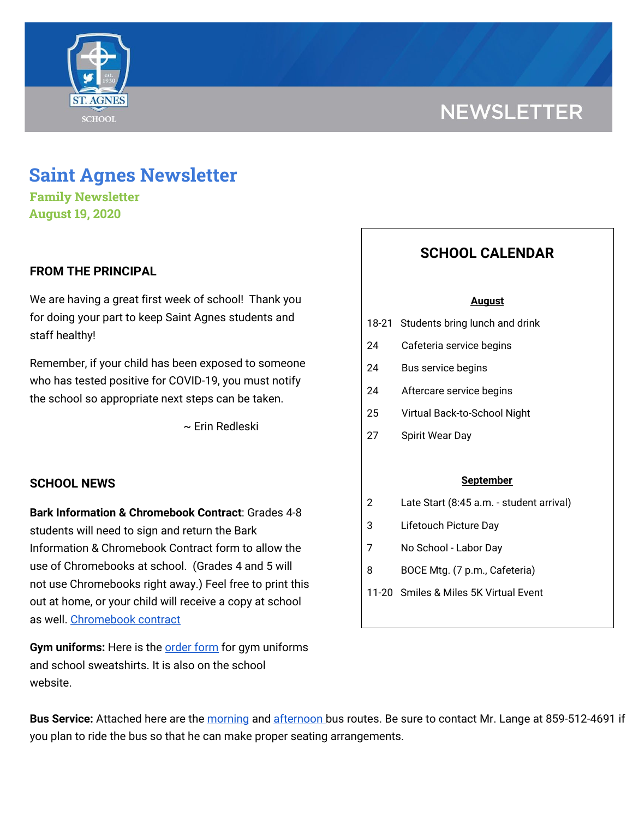

# **NEWSLETTER**

# **Saint Agnes Newsletter**

**Family Newsletter August 19, 2020**

# **FROM THE PRINCIPAL**

We are having a great first week of school! Thank you for doing your part to keep Saint Agnes students and staff healthy!

Remember, if your child has been exposed to someone who has tested positive for COVID-19, you must notify the school so appropriate next steps can be taken.

~ Erin Redleski

### **SCHOOL NEWS**

**Bark Information & Chromebook Contract**: Grades 4-8 students will need to sign and return the Bark Information & Chromebook Contract form to allow the use of Chromebooks at school. (Grades 4 and 5 will not use Chromebooks right away.) Feel free to print this out at home, or your child will receive a copy at school as well. [Chromebook](https://school.saintagnes.com/wp-content/uploads/2020/08/Chromebook-Contract.pdf) contract

**Gym uniforms:** Here is the [order](https://school.saintagnes.com/wp-content/uploads/2020/08/Gym-Uniform-Sweatshirt-Order-Form-2020.pdf) form for gym uniforms and school sweatshirts. It is also on the school website.

# **SCHOOL CALENDAR**

#### **August**

- 18-21 Students bring lunch and drink
- 24 Cafeteria service begins
- 24 Bus service begins
- 24 Aftercare service begins
- 25 Virtual Back-to-School Night
- 27 Spirit Wear Day

#### **September**

- 2 Late Start (8:45 a.m. student arrival)
- 3 Lifetouch Picture Day
- 7 No School Labor Day
- 8 BOCE Mtg. (7 p.m., Cafeteria)
- 11-20 Smiles & Miles 5K Virtual Event

**Bus Service:** Attached here are the [morning](https://school.saintagnes.com/wp-content/uploads/2020/08/Morning-bus-routes-2020-21.pdf) and [afternoon](https://school.saintagnes.com/wp-content/uploads/2020/08/Afternoon-bus-routes-2020-21.pdf) bus routes. Be sure to contact Mr. Lange at 859-512-4691 if you plan to ride the bus so that he can make proper seating arrangements.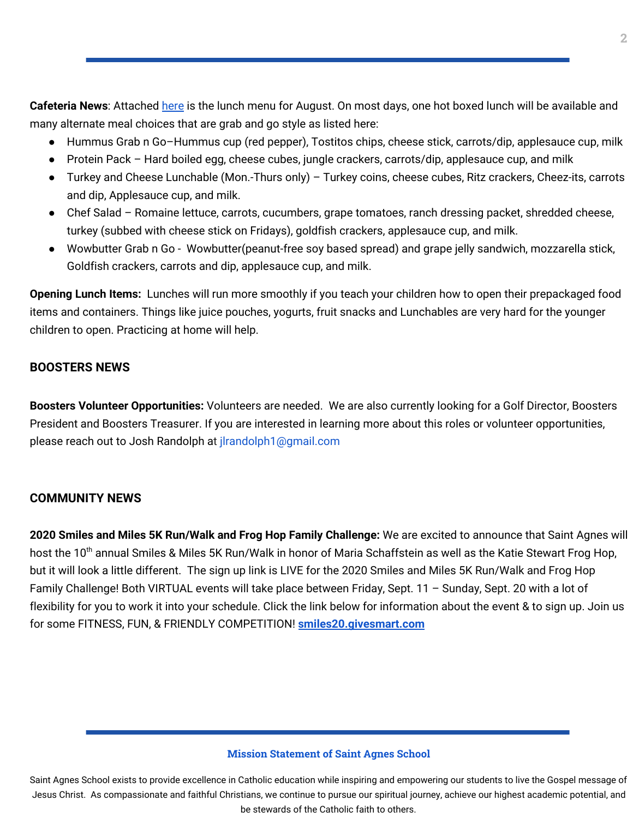**Cafeteria News**: Attached [here](https://school.saintagnes.com/wp-content/uploads/2020/08/2020-2021-Aug-Lunch-Menu.pdf) is the lunch menu for August. On most days, one hot boxed lunch will be available and many alternate meal choices that are grab and go style as listed here:

- Hummus Grab n Go-Hummus cup (red pepper), Tostitos chips, cheese stick, carrots/dip, applesauce cup, milk
- Protein Pack Hard boiled egg, cheese cubes, jungle crackers, carrots/dip, applesauce cup, and milk
- Turkey and Cheese Lunchable (Mon.-Thurs only) Turkey coins, cheese cubes, Ritz crackers, Cheez-its, carrots and dip, Applesauce cup, and milk.
- Chef Salad Romaine lettuce, carrots, cucumbers, grape tomatoes, ranch dressing packet, shredded cheese, turkey (subbed with cheese stick on Fridays), goldfish crackers, applesauce cup, and milk.
- Wowbutter Grab n Go Wowbutter(peanut-free soy based spread) and grape jelly sandwich, mozzarella stick, Goldfish crackers, carrots and dip, applesauce cup, and milk.

**Opening Lunch Items:** Lunches will run more smoothly if you teach your children how to open their prepackaged food items and containers. Things like juice pouches, yogurts, fruit snacks and Lunchables are very hard for the younger children to open. Practicing at home will help.

# **BOOSTERS NEWS**

**Boosters Volunteer Opportunities:** Volunteers are needed. We are also currently looking for a Golf Director, Boosters President and Boosters Treasurer. If you are interested in learning more about this roles or volunteer opportunities, please reach out to Josh Randolph at jlrandolph1@gmail.com

# **COMMUNITY NEWS**

**2020 Smiles and Miles 5K Run/Walk and Frog Hop Family Challenge:** We are excited to announce that Saint Agnes will host the 10<sup>th</sup> annual Smiles & Miles 5K Run/Walk in honor of Maria Schaffstein as well as the Katie Stewart Frog Hop, but it will look a little different. The sign up link is LIVE for the 2020 Smiles and Miles 5K Run/Walk and Frog Hop Family Challenge! Both VIRTUAL events will take place between Friday, Sept. 11 – Sunday, Sept. 20 with a lot of flexibility for you to work it into your schedule. Click the link below for information about the event & to sign up. Join us for some FITNESS, FUN, & FRIENDLY COMPETITION! **[smiles20.givesmart.com](https://l.facebook.com/l.php?u=http%3A%2F%2Fsmiles20.givesmart.com%2F%3Ffbclid%3DIwAR0BNF_Ph9vvqu8nj8qXiE25_KlwCBQ-AsIirw2D_MJzpKNjNRBb_l7JGHY&h=AT1c3cI-YE6FMM-8cLnAYBW7dMGnnGqZ5Wm2RBxMOYbY90XqMtCk-NFs9z7h5yg5yfPz-5T9lIyiXhW2BSPtZ9QesXCtHDSIcowZ0yh0wNCt1f80qxBoL3JXb0mkDgx2RAKz&__tn__=-UK-R&c[0]=AT3KtYJxVm-8VrfAtfrsRHAKnM_StFhzIxBdgB8fRS4Jn9B0udzdDi-4h2rf8zI1GIXnLsXAk8D295-Rv_OEPwGgofBWqaKe-LlvNU6W3EqDWYwn6hX4Mm8mNRocstF_3-LlUsyhlN3kFNygKN2_tgdqgB1qHMCViuXBMJXfG2p8dogoW5oegg)**

#### **Mission Statement of Saint Agnes School**

Saint Agnes School exists to provide excellence in Catholic education while inspiring and empowering our students to live the Gospel message of Jesus Christ. As compassionate and faithful Christians, we continue to pursue our spiritual journey, achieve our highest academic potential, and be stewards of the Catholic faith to others.